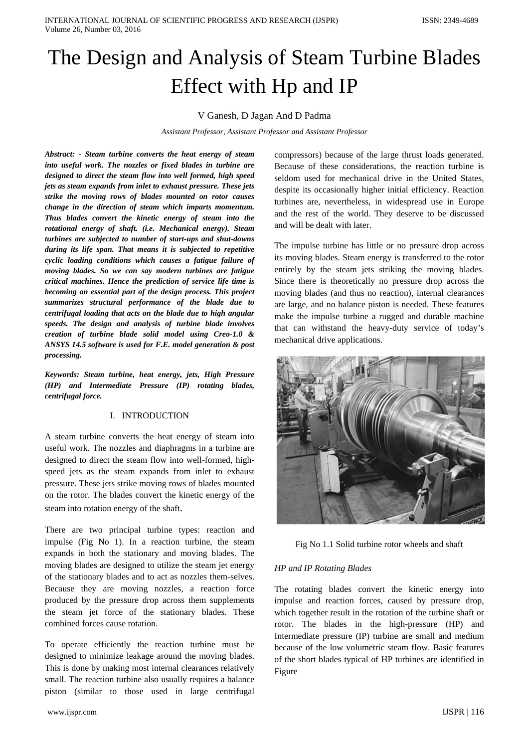# The Design and Analysis of Steam Turbine Blades Effect with Hp and IP

## V Ganesh, D Jagan And D Padma

*Assistant Professor, Assistant Professor and Assistant Professor*

*Abstract: - Steam turbine converts the heat energy of steam into useful work. The nozzles or fixed blades in turbine are designed to direct the steam flow into well formed, high speed jets as steam expands from inlet to exhaust pressure. These jets strike the moving rows of blades mounted on rotor causes change in the direction of steam which imparts momentum. Thus blades convert the kinetic energy of steam into the rotational energy of shaft. (i.e. Mechanical energy). Steam turbines are subjected to number of start-ups and shut-downs during its life span. That means it is subjected to repetitive cyclic loading conditions which causes a fatigue failure of moving blades. So we can say modern turbines are fatigue critical machines. Hence the prediction of service life time is becoming an essential part of the design process. This project summarizes structural performance of the blade due to centrifugal loading that acts on the blade due to high angular speeds. The design and analysis of turbine blade involves creation of turbine blade solid model using Creo-1.0 & ANSYS 14.5 software is used for F.E. model generation & post processing.*

*Keywords: Steam turbine, heat energy, jets, High Pressure (HP) and Intermediate Pressure (IP) rotating blades, centrifugal force.*

#### I. INTRODUCTION

A steam turbine converts the heat energy of steam into useful work. The nozzles and diaphragms in a turbine are designed to direct the steam flow into well-formed, highspeed jets as the steam expands from inlet to exhaust pressure. These jets strike moving rows of blades mounted on the rotor. The blades convert the kinetic energy of the steam into rotation energy of the shaft.

There are two principal turbine types: reaction and impulse (Fig No 1). In a reaction turbine, the steam expands in both the stationary and moving blades. The moving blades are designed to utilize the steam jet energy of the stationary blades and to act as nozzles them-selves. Because they are moving nozzles, a reaction force produced by the pressure drop across them supplements the steam jet force of the stationary blades. These combined forces cause rotation.

To operate efficiently the reaction turbine must be designed to minimize leakage around the moving blades. This is done by making most internal clearances relatively small. The reaction turbine also usually requires a balance piston (similar to those used in large centrifugal

compressors) because of the large thrust loads generated. Because of these considerations, the reaction turbine is seldom used for mechanical drive in the United States, despite its occasionally higher initial efficiency. Reaction turbines are, nevertheless, in widespread use in Europe and the rest of the world. They deserve to be discussed and will be dealt with later.

The impulse turbine has little or no pressure drop across its moving blades. Steam energy is transferred to the rotor entirely by the steam jets striking the moving blades. Since there is theoretically no pressure drop across the moving blades (and thus no reaction), internal clearances are large, and no balance piston is needed. These features make the impulse turbine a rugged and durable machine that can withstand the heavy-duty service of today's mechanical drive applications.



Fig No 1.1 Solid turbine rotor wheels and shaft

### *HP and IP Rotating Blades*

The rotating blades convert the kinetic energy into impulse and reaction forces, caused by pressure drop, which together result in the rotation of the turbine shaft or rotor. The blades in the high-pressure (HP) and Intermediate pressure (IP) turbine are small and medium because of the low volumetric steam flow. Basic features of the short blades typical of HP turbines are identified in Figure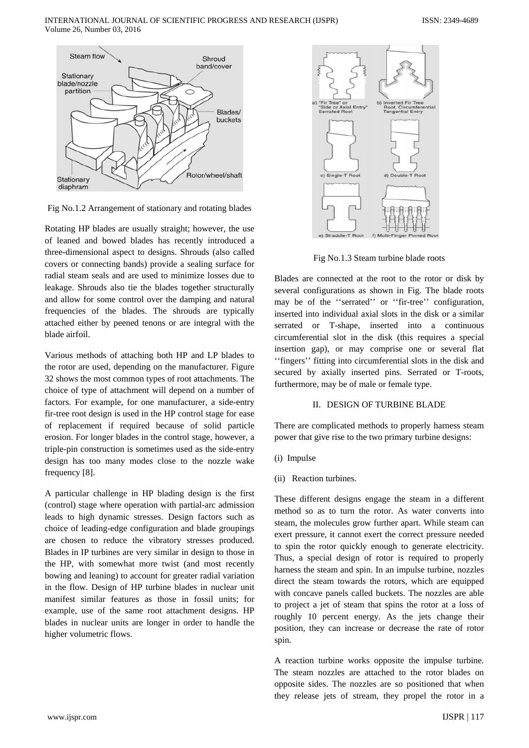

Fig No.1.2 Arrangement of stationary and rotating blades

Rotating HP blades are usually straight; however, the use of leaned and bowed blades has recently introduced a three-dimensional aspect to designs. Shrouds (also called covers or connecting bands) provide a sealing surface for radial steam seals and are used to minimize losses due to leakage. Shrouds also tie the blades together structurally and allow for some control over the damping and natural frequencies of the blades. The shrouds are typically attached either by peened tenons or are integral with the blade airfoil.

Various methods of attaching both HP and LP blades to the rotor are used, depending on the manufacturer. Figure 32 shows the most common types of root attachments. The choice of type of attachment will depend on a number of factors. For example, for one manufacturer, a side-entry fir-tree root design is used in the HP control stage for ease of replacement if required because of solid particle erosion. For longer blades in the control stage, however, a triple-pin construction is sometimes used as the side-entry design has too many modes close to the nozzle wake frequency [8].

A particular challenge in HP blading design is the first (control) stage where operation with partial-arc admission leads to high dynamic stresses. Design factors such as choice of leading-edge configuration and blade groupings are chosen to reduce the vibratory stresses produced. Blades in IP turbines are very similar in design to those in the HP, with somewhat more twist (and most recently bowing and leaning) to account for greater radial variation in the flow. Design of HP turbine blades in nuclear unit manifest similar features as those in fossil units; for example, use of the same root attachment designs. HP blades in nuclear units are longer in order to handle the higher volumetric flows.



Fig No.1.3 Steam turbine blade roots

Blades are connected at the root to the rotor or disk by several configurations as shown in Fig. The blade roots may be of the ''serrated'' or ''fir-tree'' configuration, inserted into individual axial slots in the disk or a similar serrated or T-shape, inserted into a continuous circumferential slot in the disk (this requires a special insertion gap), or may comprise one or several flat ''fingers'' fitting into circumferential slots in the disk and secured by axially inserted pins. Serrated or T-roots, furthermore, may be of male or female type.

### II. DESIGN OF TURBINE BLADE

There are complicated methods to properly harness steam power that give rise to the two primary turbine designs:

- (i) Impulse
- (ii) Reaction turbines.

These different designs engage the steam in a different method so as to turn the rotor. As water converts into steam, the molecules grow further apart. While steam can exert pressure, it cannot exert the correct pressure needed to spin the rotor quickly enough to generate electricity. Thus, a special design of rotor is required to properly harness the steam and spin. In an impulse turbine, nozzles direct the steam towards the rotors, which are equipped with concave panels called buckets. The nozzles are able to project a jet of steam that spins the rotor at a loss of roughly 10 percent energy. As the jets change their position, they can increase or decrease the rate of rotor spin.

A reaction turbine works opposite the impulse turbine. The steam nozzles are attached to the rotor blades on opposite sides. The nozzles are so positioned that when they release jets of stream, they propel the rotor in a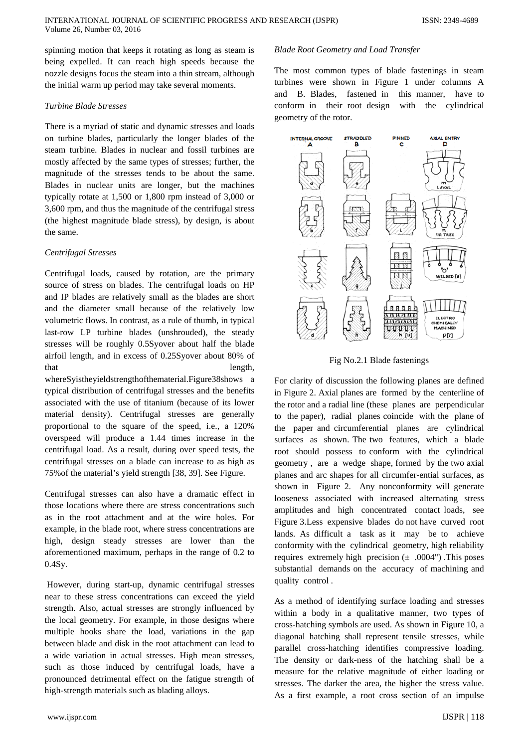spinning motion that keeps it rotating as long as steam is being expelled. It can reach high speeds because the nozzle designs focus the steam into a thin stream, although the initial warm up period may take several moments.

### *Turbine Blade Stresses*

There is a myriad of static and dynamic stresses and loads on turbine blades, particularly the longer blades of the steam turbine. Blades in nuclear and fossil turbines are mostly affected by the same types of stresses; further, the magnitude of the stresses tends to be about the same. Blades in nuclear units are longer, but the machines typically rotate at 1,500 or 1,800 rpm instead of 3,000 or 3,600 rpm, and thus the magnitude of the centrifugal stress (the highest magnitude blade stress), by design, is about the same.

#### *Centrifugal Stresses*

Centrifugal loads, caused by rotation, are the primary source of stress on blades. The centrifugal loads on HP and IP blades are relatively small as the blades are short and the diameter small because of the relatively low volumetric flows. In contrast, as a rule of thumb, in typical last-row LP turbine blades (unshrouded), the steady stresses will be roughly 0.5Syover about half the blade airfoil length, and in excess of 0.25Syover about 80% of that length,

whereSyistheyieldstrengthofthematerial.Figure38shows a typical distribution of centrifugal stresses and the benefits associated with the use of titanium (because of its lower material density). Centrifugal stresses are generally proportional to the square of the speed, i.e., a 120% overspeed will produce a 1.44 times increase in the centrifugal load. As a result, during over speed tests, the centrifugal stresses on a blade can increase to as high as 75%of the material's yield strength [38, 39]. See Figure.

Centrifugal stresses can also have a dramatic effect in those locations where there are stress concentrations such as in the root attachment and at the wire holes. For example, in the blade root, where stress concentrations are high, design steady stresses are lower than the aforementioned maximum, perhaps in the range of 0.2 to 0.4Sy.

However, during start-up, dynamic centrifugal stresses near to these stress concentrations can exceed the yield strength. Also, actual stresses are strongly influenced by the local geometry. For example, in those designs where multiple hooks share the load, variations in the gap between blade and disk in the root attachment can lead to a wide variation in actual stresses. High mean stresses, such as those induced by centrifugal loads, have a pronounced detrimental effect on the fatigue strength of high-strength materials such as blading alloys.

### *Blade Root Geometry and Load Transfer*

The most common types of blade fastenings in steam turbines were shown in Figure 1 under columns A and B. Blades, fastened in this manner, have to conform in their root design with the cylindrical geometry of the rotor.



Fig No.2.1 Blade fastenings

For clarity of discussion the following planes are defined in Figure 2. Axial planes are formed by the centerline of the rotor and a radial line (these planes are perpendicular to the paper), radial planes coincide with the plane of the paper and circumferential planes are cylindrical surfaces as shown. The two features, which a blade root should possess to conform with the cylindrical geometry , are a wedge shape, formed by the two axial planes and arc shapes for all circumfer-ential surfaces, as shown in Figure 2. Any nonconformity will generate looseness associated with increased alternating stress amplitudes and high concentrated contact loads, see Figure 3.Less expensive blades do not have curved root lands. As difficult a task as it may be to achieve conformity with the cylindrical geometry, high reliability requires extremely high precision  $(\pm 0.004)$ . This poses substantial demands on the accuracy of machining and quality control .

As a method of identifying surface loading and stresses within a body in a qualitative manner, two types of cross-hatching symbols are used. As shown in Figure 10, a diagonal hatching shall represent tensile stresses, while parallel cross-hatching identifies compressive loading. The density or dark-ness of the hatching shall be a measure for the relative magnitude of either loading or stresses. The darker the area, the higher the stress value. As a first example, a root cross section of an impulse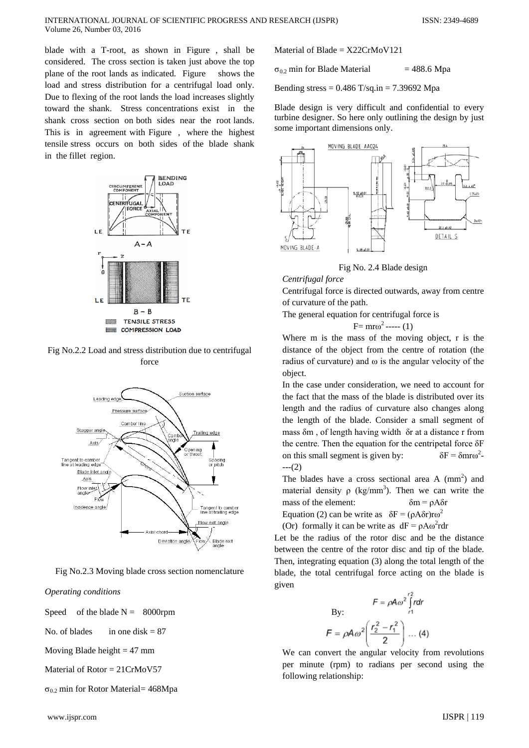blade with a T-root, as shown in Figure , shall be considered. The cross section is taken just above the top plane of the root lands as indicated. Figure shows the load and stress distribution for a centrifugal load only. Due to flexing of the root lands the load increases slightly toward the shank. Stress concentrations exist in the shank cross section on both sides near the root lands. This is in agreement with Figure , where the highest tensile stress occurs on both sides of the blade shank in the fillet region.



Fig No.2.2 Load and stress distribution due to centrifugal force



Fig No.2.3 Moving blade cross section nomenclature

*Operating conditions*

Speed of the blade  $N = 8000$ rpm

No. of blades in one disk  $= 87$ 

Moving Blade height  $= 47$  mm

Material of Rotor = 21CrMoV57

 $σ<sub>0.2</sub> min for Rotor Material = 468Mpa$ 

Material of Blade = X22CrMoV121

 $\sigma_{0.2}$  min for Blade Material  $= 488.6$  Mpa

Bending stress =  $0.486$  T/sq.in =  $7.39692$  Mpa

Blade design is very difficult and confidential to every turbine designer. So here only outlining the design by just some important dimensions only.



Fig No. 2.4 Blade design

*Centrifugal force*

Centrifugal force is directed outwards, away from centre of curvature of the path.

The general equation for centrifugal force is

$$
F= m r \omega^2
$$
---(1)

Where m is the mass of the moving object, r is the distance of the object from the centre of rotation (the radius of curvature) and  $\omega$  is the angular velocity of the object.

In the case under consideration, we need to account for the fact that the mass of the blade is distributed over its length and the radius of curvature also changes along the length of the blade. Consider a small segment of mass δm , of length having width δr at a distance r from the centre. Then the equation for the centripetal force δF on this small segment is given by:  $\delta F = \delta m r \omega^2$ - $---(2)$ 

The blades have a cross sectional area A  $(nm<sup>2</sup>)$  and material density  $\rho$  (kg/mm<sup>3</sup>). Then we can write the mass of the element:  $\delta m = \rho A \delta r$ Equation (2) can be write as  $\delta F = (\rho A \delta r) r \omega^2$ 

(Or) formally it can be write as  $dF = \rho A \omega^2 r dr$ 

Let be the radius of the rotor disc and be the distance between the centre of the rotor disc and tip of the blade. Then, integrating equation (3) along the total length of the blade, the total centrifugal force acting on the blade is given

$$
F = \rho A \omega^2 \int_{r1}^{r2} r dr
$$
  
By:  

$$
F = \rho A \omega^2 \left( \frac{r_2^2 - r_1^2}{2} \right) \dots (4)
$$

We can convert the angular velocity from revolutions per minute (rpm) to radians per second using the following relationship: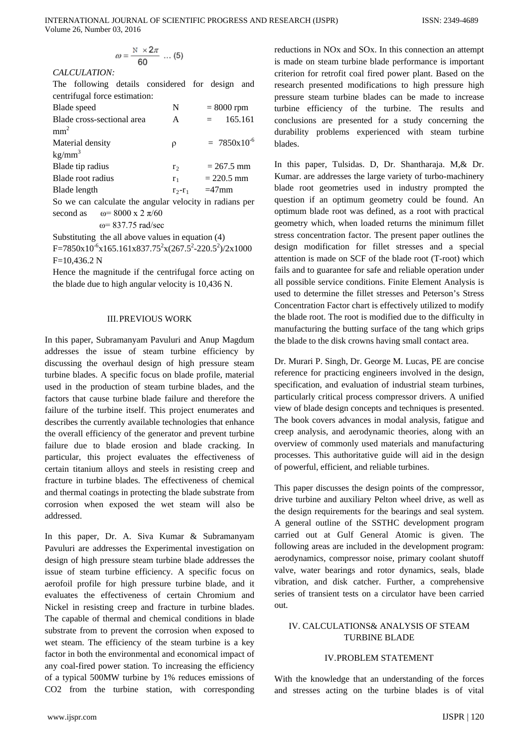$$
\omega = \frac{N \times 2\pi}{60} \dots (5)
$$

*CALCULATION:* 

| The following details considered for design and         |                |                  |  |  |  |
|---------------------------------------------------------|----------------|------------------|--|--|--|
| centrifugal force estimation:                           |                |                  |  |  |  |
| Blade speed                                             | N              | $= 8000$ rpm     |  |  |  |
| Blade cross-sectional area                              | A              | 165.161          |  |  |  |
| mm <sup>2</sup>                                         |                |                  |  |  |  |
| Material density                                        | ρ              | $= 7850x10^{-6}$ |  |  |  |
| $kg/mm^3$                                               |                |                  |  |  |  |
| Blade tip radius                                        | r <sub>2</sub> | $= 267.5$ mm     |  |  |  |
| Blade root radius                                       | r <sub>1</sub> | $= 220.5$ mm     |  |  |  |
| Blade length                                            | $r_2-r_1$      | $=47$ mm         |  |  |  |
| So we can calculate the angular velocity in radians per |                |                  |  |  |  |
| second as $\omega = 8000 \times 2 \pi/60$               |                |                  |  |  |  |
| $\omega$ = 837.75 rad/sec                               |                |                  |  |  |  |

Substituting the all above values in equation (4)

F=7850x10<sup>-6</sup>x165.161x837.75<sup>2</sup>x(267.5<sup>2</sup>-220.5<sup>2</sup>)/2x1000  $F=10.436.2 N$ 

Hence the magnitude if the centrifugal force acting on the blade due to high angular velocity is 10,436 N.

#### III.PREVIOUS WORK

In this paper, Subramanyam Pavuluri and Anup Magdum addresses the issue of steam turbine efficiency by discussing the overhaul design of high pressure steam turbine blades. A specific focus on blade profile, material used in the production of steam turbine blades, and the factors that cause turbine blade failure and therefore the failure of the turbine itself. This project enumerates and describes the currently available technologies that enhance the overall efficiency of the generator and prevent turbine failure due to blade erosion and blade cracking. In particular, this project evaluates the effectiveness of certain titanium alloys and steels in resisting creep and fracture in turbine blades. The effectiveness of chemical and thermal coatings in protecting the blade substrate from corrosion when exposed the wet steam will also be addressed.

In this paper, Dr. A. Siva Kumar & Subramanyam Pavuluri are addresses the Experimental investigation on design of high pressure steam turbine blade addresses the issue of steam turbine efficiency. A specific focus on aerofoil profile for high pressure turbine blade, and it evaluates the effectiveness of certain Chromium and Nickel in resisting creep and fracture in turbine blades. The capable of thermal and chemical conditions in blade substrate from to prevent the corrosion when exposed to wet steam. The efficiency of the steam turbine is a key factor in both the environmental and economical impact of any coal-fired power station. To increasing the efficiency of a typical 500MW turbine by 1% reduces emissions of CO2 from the turbine station, with corresponding reductions in NOx and SOx. In this connection an attempt is made on steam turbine blade performance is important criterion for retrofit coal fired power plant. Based on the research presented modifications to high pressure high pressure steam turbine blades can be made to increase turbine efficiency of the turbine. The results and conclusions are presented for a study concerning the durability problems experienced with steam turbine blades.

In this paper, Tulsidas. D, Dr. Shantharaja. M,& Dr. Kumar. are addresses the large variety of turbo-machinery blade root geometries used in industry prompted the question if an optimum geometry could be found. An optimum blade root was defined, as a root with practical geometry which, when loaded returns the minimum fillet stress concentration factor. The present paper outlines the design modification for fillet stresses and a special attention is made on SCF of the blade root (T-root) which fails and to guarantee for safe and reliable operation under all possible service conditions. Finite Element Analysis is used to determine the fillet stresses and Peterson's Stress Concentration Factor chart is effectively utilized to modify the blade root. The root is modified due to the difficulty in manufacturing the butting surface of the tang which grips the blade to the disk crowns having small contact area.

Dr. Murari P. Singh, Dr. George M. Lucas, PE are concise reference for practicing engineers involved in the design, specification, and evaluation of industrial steam turbines, particularly critical process compressor drivers. A unified view of blade design concepts and techniques is presented. The book covers advances in modal analysis, fatigue and creep analysis, and aerodynamic theories, along with an overview of commonly used materials and manufacturing processes. This authoritative guide will aid in the design of powerful, efficient, and reliable turbines.

This paper discusses the design points of the compressor, drive turbine and auxiliary Pelton wheel drive, as well as the design requirements for the bearings and seal system. A general outline of the SSTHC development program carried out at Gulf General Atomic is given. The following areas are included in the development program: aerodynamics, compressor noise, primary coolant shutoff valve, water bearings and rotor dynamics, seals, blade vibration, and disk catcher. Further, a comprehensive series of transient tests on a circulator have been carried out.

# IV. CALCULATIONS& ANALYSIS OF STEAM TURBINE BLADE

### IV.PROBLEM STATEMENT

With the knowledge that an understanding of the forces and stresses acting on the turbine blades is of vital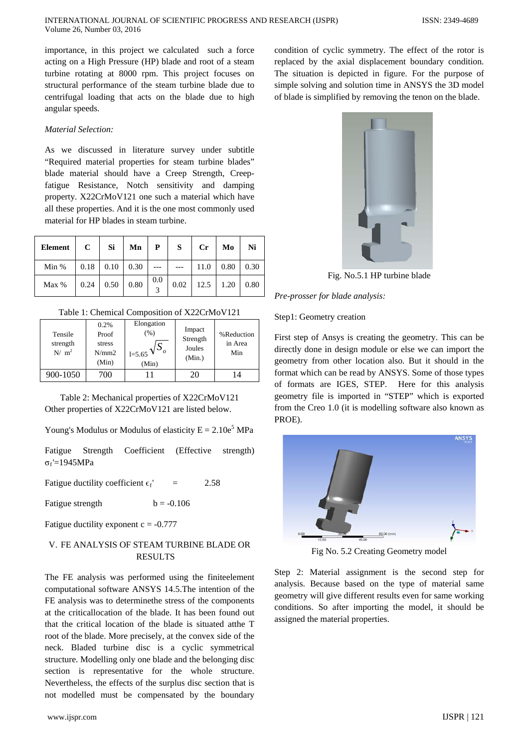importance, in this project we calculated such a force acting on a High Pressure (HP) blade and root of a steam turbine rotating at 8000 rpm. This project focuses on structural performance of the steam turbine blade due to centrifugal loading that acts on the blade due to high angular speeds.

*Material Selection:*

As we discussed in literature survey under subtitle "Required material properties for steam turbine blades" blade material should have a Creep Strength, Creepfatigue Resistance, Notch sensitivity and damping property. X22CrMoV121 one such a material which have all these properties. And it is the one most commonly used material for HP blades in steam turbine.

| Element | $\mathbf C$ | Si                               | Mn | $\mathbf P$          | $\mathbf{S}$ | $\bf{Cr}$                   | $\blacksquare$ Mo | Ni |
|---------|-------------|----------------------------------|----|----------------------|--------------|-----------------------------|-------------------|----|
| Min $%$ |             | $0.18$ 0.10 0.30 ---             |    |                      |              |                             | $11.0$ 0.80 0.30  |    |
| Max %   |             | $0.24 \,   \, 0.50 \,   \, 0.80$ |    | 0.0<br>$\frac{1}{3}$ |              | $0.02$   12.5   1.20   0.80 |                   |    |

Table 1: Chemical Composition of X22CrMoV121

| Tensile<br>strength<br>N/m <sup>2</sup> | 0.2%<br>Proof<br>stress<br>N/mm2<br>(Min) | Elongation<br>(%)<br>$\frac{1}{2}$ = 5.65 $\sqrt{5}$<br>(Min) | Impact<br>Strength<br>Joules<br>(Min.) | %Reduction<br>in Area<br>Min |
|-----------------------------------------|-------------------------------------------|---------------------------------------------------------------|----------------------------------------|------------------------------|
| 900-1050                                | 700                                       |                                                               | 20                                     | 14                           |

Table 2: Mechanical properties of X22CrMoV121 Other properties of X22CrMoV121 are listed below.

Young's Modulus or Modulus of elasticity  $E = 2.10e^5$  MPa

Fatigue Strength Coefficient (Effective strength)  $σ_f' = 1945MPa$ 

Fatigue ductility coefficient  $\epsilon_f'$  = 2.58

Fatigue strength  $b = -0.106$ 

Fatigue ductility exponent  $c = -0.777$ 

# V. FE ANALYSIS OF STEAM TURBINE BLADE OR RESULTS

The FE analysis was performed using the finiteelement computational software ANSYS 14.5.The intention of the FE analysis was to determinethe stress of the components at the criticallocation of the blade. It has been found out that the critical location of the blade is situated atthe T root of the blade. More precisely, at the convex side of the neck. Bladed turbine disc is a cyclic symmetrical structure. Modelling only one blade and the belonging disc section is representative for the whole structure. Nevertheless, the effects of the surplus disc section that is not modelled must be compensated by the boundary

condition of cyclic symmetry. The effect of the rotor is replaced by the axial displacement boundary condition. The situation is depicted in figure. For the purpose of simple solving and solution time in ANSYS the 3D model of blade is simplified by removing the tenon on the blade.



Fig. No.5.1 HP turbine blade

*Pre-prosser for blade analysis:*

Step1: Geometry creation

First step of Ansys is creating the geometry. This can be directly done in design module or else we can import the geometry from other location also. But it should in the format which can be read by ANSYS. Some of those types of formats are IGES, STEP. Here for this analysis geometry file is imported in "STEP" which is exported from the Creo 1.0 (it is modelling software also known as PROE).



Fig No. 5.2 Creating Geometry model

Step 2: Material assignment is the second step for analysis. Because based on the type of material same geometry will give different results even for same working conditions. So after importing the model, it should be assigned the material properties.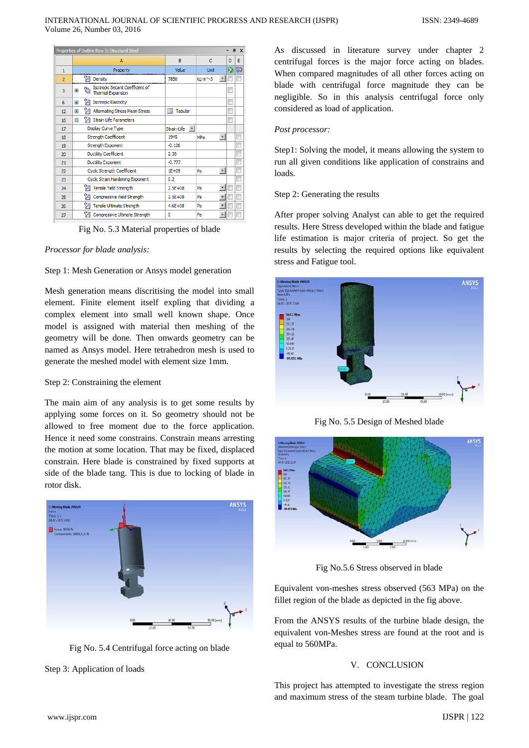## INTERNATIONAL JOURNAL OF SCIENTIFIC PROGRESS AND RESEARCH (IJSPR) ISSN: 2349-4689 Volume 26, Number 03, 2016

|                | Properties of Outline Row 3: Structural Steel                         |                                     |                  |                            |  |  |
|----------------|-----------------------------------------------------------------------|-------------------------------------|------------------|----------------------------|--|--|
|                | A                                                                     | B                                   | C                | E<br>D                     |  |  |
| 1              | Property                                                              | Value                               | <b>Unit</b>      | 恸<br>$\boldsymbol{\kappa}$ |  |  |
| $\overline{2}$ | Þ<br>Density                                                          | 7850                                | kg m^-3          | г                          |  |  |
| 3              | Isotropic Secant Coefficient of<br>Þ<br>H<br><b>Thermal Expansion</b> |                                     |                  | Г                          |  |  |
| 6              | ℉<br><b>Isotropic Elasticity</b><br>$\blacksquare$                    |                                     |                  | П                          |  |  |
| 12             | ⊱<br>Alternating Stress Mean Stress<br>Ŧ                              | 睴<br>Tabular                        |                  | г                          |  |  |
| 16             | ℉<br><b>Strain-Life Parameters</b><br>Ξ                               |                                     |                  | F                          |  |  |
| 17             | Display Curve Type                                                    | $\blacktriangledown$<br>Strain-Life |                  |                            |  |  |
| 18             | <b>Strength Coefficient</b>                                           | 1945                                | ×.<br><b>MPa</b> | F                          |  |  |
| 19             | <b>Strength Exponent</b>                                              | $-0.106$                            |                  | Г                          |  |  |
| 20             | <b>Ductility Coefficient</b>                                          | 2.58                                |                  | Г                          |  |  |
| 21             | <b>Ductility Exponent</b>                                             | $-0.777$                            |                  | ╔                          |  |  |
| 22             | Cyclic Strength Coefficient                                           | $1E + 09$                           | $\bullet$<br>Pa  | г                          |  |  |
| 23             | Cyclic Strain Hardening Exponent                                      | 0.2                                 |                  | F                          |  |  |
| 24             | Þ<br>Tensile Yield Strength                                           | $2.5E + 08$                         | Pa               | ╔                          |  |  |
| 25             | ℉<br>Compressive Yield Strength                                       | $2.5E + 08$                         | Pa<br>٠          | г                          |  |  |
| 26             | Tensile Ultimate Strength                                             | $4.6E + 08$                         | Pa<br>۰          |                            |  |  |
| 27             | Compressive Ultimate Strength                                         | o                                   | Pa               |                            |  |  |

Fig No. 5.3 Material properties of blade

# *Processor for blade analysis:*

Step 1: Mesh Generation or Ansys model generation

Mesh generation means discritising the model into small element. Finite element itself expling that dividing a complex element into small well known shape. Once model is assigned with material then meshing of the geometry will be done. Then onwards geometry can be named as Ansys model. Here tetrahedron mesh is used to generate the meshed model with element size 1mm.

# Step 2: Constraining the element

The main aim of any analysis is to get some results by applying some forces on it. So geometry should not be allowed to free moment due to the force application. Hence it need some constrains. Constrain means arresting the motion at some location. That may be fixed, displaced constrain. Here blade is constrained by fixed supports at side of the blade tang. This is due to locking of blade in rotor disk.



Fig No. 5.4 Centrifugal force acting on blade

Step 3: Application of loads

As discussed in literature survey under chapter 2 centrifugal forces is the major force acting on blades. When compared magnitudes of all other forces acting on blade with centrifugal force magnitude they can be negligible. So in this analysis centrifugal force only considered as load of application.

### *Post processor:*

Step1: Solving the model, it means allowing the system to run all given conditions like application of constrains and loads.

## Step 2: Generating the results

After proper solving Analyst can able to get the required results. Here Stress developed within the blade and fatigue life estimation is major criteria of project. So get the results by selecting the required options like equivalent stress and Fatigue tool.



Fig No. 5.5 Design of Meshed blade



Fig No.5.6 Stress observed in blade

Equivalent von-meshes stress observed (563 MPa) on the fillet region of the blade as depicted in the fig above.

From the ANSYS results of the turbine blade design, the equivalent von-Meshes stress are found at the root and is equal to 560MPa.

# V. CONCLUSION

This project has attempted to investigate the stress region and maximum stress of the steam turbine blade. The goal